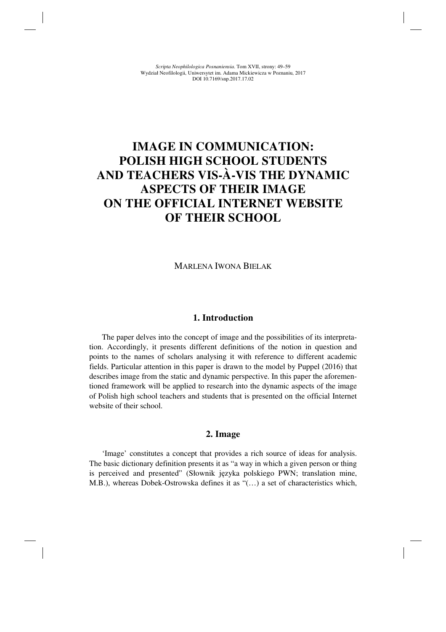# **IMAGE IN COMMUNICATION: POLISH HIGH SCHOOL STUDENTS AND TEACHERS VIS-À-VIS THE DYNAMIC ASPECTS OF THEIR IMAGE ON THE OFFICIAL INTERNET WEBSITE OF THEIR SCHOOL**

MARLENA IWONA BIELAK

## **1. Introduction**

The paper delves into the concept of image and the possibilities of its interpretation. Accordingly, it presents different definitions of the notion in question and points to the names of scholars analysing it with reference to different academic fields. Particular attention in this paper is drawn to the model by Puppel (2016) that describes image from the static and dynamic perspective. In this paper the aforementioned framework will be applied to research into the dynamic aspects of the image of Polish high school teachers and students that is presented on the official Internet website of their school.

#### **2. Image**

'Image' constitutes a concept that provides a rich source of ideas for analysis. The basic dictionary definition presents it as "a way in which a given person or thing is perceived and presented" (Słownik języka polskiego PWN; translation mine, M.B.), whereas Dobek-Ostrowska defines it as "(…) a set of characteristics which,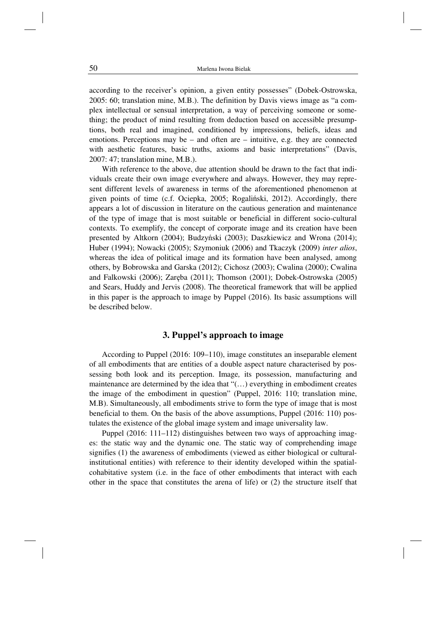according to the receiver's opinion, a given entity possesses" (Dobek-Ostrowska, 2005: 60; translation mine, M.B.). The definition by Davis views image as "a complex intellectual or sensual interpretation, a way of perceiving someone or something; the product of mind resulting from deduction based on accessible presumptions, both real and imagined, conditioned by impressions, beliefs, ideas and emotions. Perceptions may be  $-$  and often are  $-$  intuitive, e.g. they are connected with aesthetic features, basic truths, axioms and basic interpretations" (Davis, 2007: 47; translation mine, M.B.).

With reference to the above, due attention should be drawn to the fact that individuals create their own image everywhere and always. However, they may represent different levels of awareness in terms of the aforementioned phenomenon at given points of time (c.f. Ociepka, 2005; Rogaliński, 2012). Accordingly, there appears a lot of discussion in literature on the cautious generation and maintenance of the type of image that is most suitable or beneficial in different socio-cultural contexts. To exemplify, the concept of corporate image and its creation have been presented by Altkorn (2004); Budzyński (2003); Daszkiewicz and Wrona (2014); Huber (1994); Nowacki (2005); Szymoniuk (2006) and Tkaczyk (2009) *inter alios*, whereas the idea of political image and its formation have been analysed, among others, by Bobrowska and Garska (2012); Cichosz (2003); Cwalina (2000); Cwalina and Falkowski (2006); Zaręba (2011); Thomson (2001); Dobek-Ostrowska (2005) and Sears, Huddy and Jervis (2008). The theoretical framework that will be applied in this paper is the approach to image by Puppel (2016). Its basic assumptions will be described below.

# **3. Puppel's approach to image**

According to Puppel (2016: 109–110), image constitutes an inseparable element of all embodiments that are entities of a double aspect nature characterised by possessing both look and its perception. Image*,* its possession, manufacturing and maintenance are determined by the idea that "(…) everything in embodiment creates the image of the embodiment in question" (Puppel, 2016: 110; translation mine, M.B). Simultaneously, all embodiments strive to form the type of image that is most beneficial to them. On the basis of the above assumptions, Puppel (2016: 110) postulates the existence of the global image system and image universality law.

Puppel (2016: 111–112) distinguishes between two ways of approaching images: the static way and the dynamic one. The static way of comprehending image signifies (1) the awareness of embodiments (viewed as either biological or culturalinstitutional entities) with reference to their identity developed within the spatialcohabitative system (i.e. in the face of other embodiments that interact with each other in the space that constitutes the arena of life) or (2) the structure itself that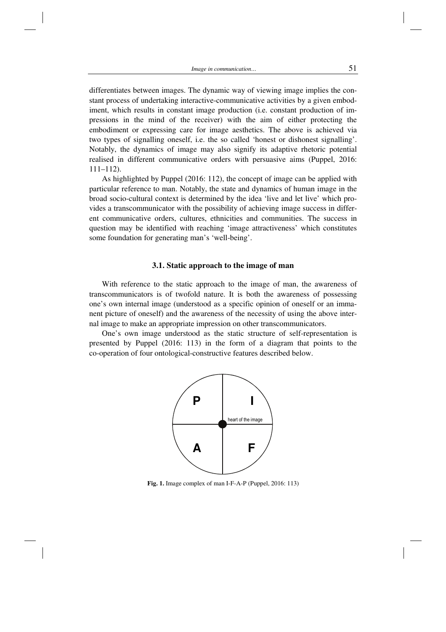differentiates between images. The dynamic way of viewing image implies the constant process of undertaking interactive-communicative activities by a given embodiment, which results in constant image production (i.e. constant production of impressions in the mind of the receiver) with the aim of either protecting the embodiment or expressing care for image aesthetics. The above is achieved via two types of signalling oneself, i.e. the so called 'honest or dishonest signalling'. Notably, the dynamics of image may also signify its adaptive rhetoric potential realised in different communicative orders with persuasive aims (Puppel, 2016: 111–112).

As highlighted by Puppel (2016: 112), the concept of image can be applied with particular reference to man. Notably, the state and dynamics of human image in the broad socio-cultural context is determined by the idea 'live and let live' which provides a transcommunicator with the possibility of achieving image success in different communicative orders, cultures, ethnicities and communities. The success in question may be identified with reaching 'image attractiveness' which constitutes some foundation for generating man's 'well-being'.

#### **3.1. Static approach to the image of man**

With reference to the static approach to the image of man, the awareness of transcommunicators is of twofold nature. It is both the awareness of possessing one's own internal image (understood as a specific opinion of oneself or an immanent picture of oneself) and the awareness of the necessity of using the above internal image to make an appropriate impression on other transcommunicators.

One's own image understood as the static structure of self-representation is presented by Puppel (2016: 113) in the form of a diagram that points to the co-operation of four ontological-constructive features described below.



**Fig. 1.** Image complex of man I-F-A-P (Puppel, 2016: 113)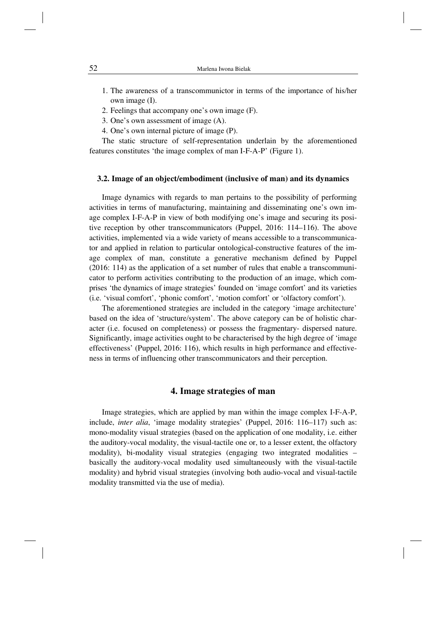- 1. The awareness of a transcommunictor in terms of the importance of his/her own image (I).
- 2. Feelings that accompany one's own image (F).
- 3. One's own assessment of image (A).
- 4. One's own internal picture of image (P).

The static structure of self-representation underlain by the aforementioned features constitutes 'the image complex of man I-F-A-P' (Figure 1).

#### **3.2. Image of an object/embodiment (inclusive of man) and its dynamics**

Image dynamics with regards to man pertains to the possibility of performing activities in terms of manufacturing, maintaining and disseminating one's own image complex I-F-A-P in view of both modifying one's image and securing its positive reception by other transcommunicators (Puppel, 2016: 114–116). The above activities, implemented via a wide variety of means accessible to a transcommunicator and applied in relation to particular ontological-constructive features of the image complex of man, constitute a generative mechanism defined by Puppel (2016: 114) as the application of a set number of rules that enable a transcommunicator to perform activities contributing to the production of an image, which comprises 'the dynamics of image strategies' founded on 'image comfort' and its varieties (i.e. 'visual comfort', 'phonic comfort', 'motion comfort' or 'olfactory comfort').

The aforementioned strategies are included in the category 'image architecture' based on the idea of 'structure/system'. The above category can be of holistic character (i.e. focused on completeness) or possess the fragmentary- dispersed nature. Significantly, image activities ought to be characterised by the high degree of 'image effectiveness' (Puppel, 2016: 116), which results in high performance and effectiveness in terms of influencing other transcommunicators and their perception.

## **4. Image strategies of man**

Image strategies, which are applied by man within the image complex I-F-A-P, include, *inter alia*, 'image modality strategies' (Puppel, 2016: 116–117) such as: mono-modality visual strategies (based on the application of one modality, i.e. either the auditory-vocal modality, the visual-tactile one or, to a lesser extent, the olfactory modality), bi-modality visual strategies (engaging two integrated modalities – basically the auditory-vocal modality used simultaneously with the visual-tactile modality) and hybrid visual strategies (involving both audio-vocal and visual-tactile modality transmitted via the use of media).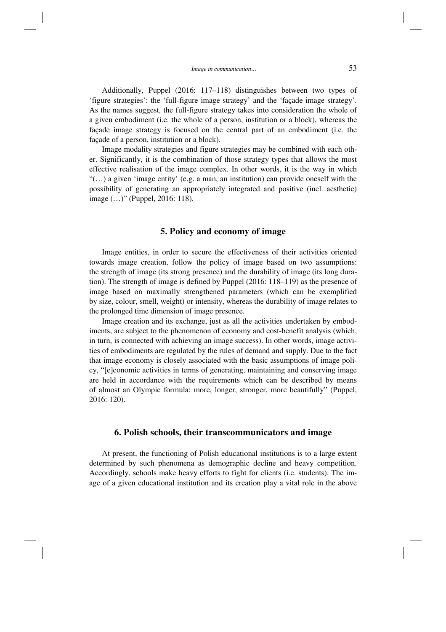Additionally, Puppel (2016: 117–118) distinguishes between two types of 'figure strategies': the 'full-figure image strategy' and the 'façade image strategy'. As the names suggest, the full-figure strategy takes into consideration the whole of a given embodiment (i.e. the whole of a person, institution or a block), whereas the façade image strategy is focused on the central part of an embodiment (i.e. the façade of a person, institution or a block).

Image modality strategies and figure strategies may be combined with each other. Significantly, it is the combination of those strategy types that allows the most effective realisation of the image complex. In other words, it is the way in which "(…) a given 'image entity' (e.g. a man, an institution) can provide oneself with the possibility of generating an appropriately integrated and positive (incl. aesthetic) image (…)" (Puppel, 2016: 118).

#### **5. Policy and economy of image**

Image entities, in order to secure the effectiveness of their activities oriented towards image creation, follow the policy of image based on two assumptions: the strength of image (its strong presence) and the durability of image (its long duration). The strength of image is defined by Puppel (2016: 118–119) as the presence of image based on maximally strengthened parameters (which can be exemplified by size, colour, smell, weight) or intensity, whereas the durability of image relates to the prolonged time dimension of image presence.

Image creation and its exchange, just as all the activities undertaken by embodiments, are subject to the phenomenon of economy and cost-benefit analysis (which, in turn, is connected with achieving an image success). In other words, image activities of embodiments are regulated by the rules of demand and supply. Due to the fact that image economy is closely associated with the basic assumptions of image policy, "[e]conomic activities in terms of generating, maintaining and conserving image are held in accordance with the requirements which can be described by means of almost an Olympic formula: more, longer, stronger, more beautifully" (Puppel, 2016: 120).

### **6. Polish schools, their transcommunicators and image**

At present, the functioning of Polish educational institutions is to a large extent determined by such phenomena as demographic decline and heavy competition. Accordingly, schools make heavy efforts to fight for clients (i.e. students). The image of a given educational institution and its creation play a vital role in the above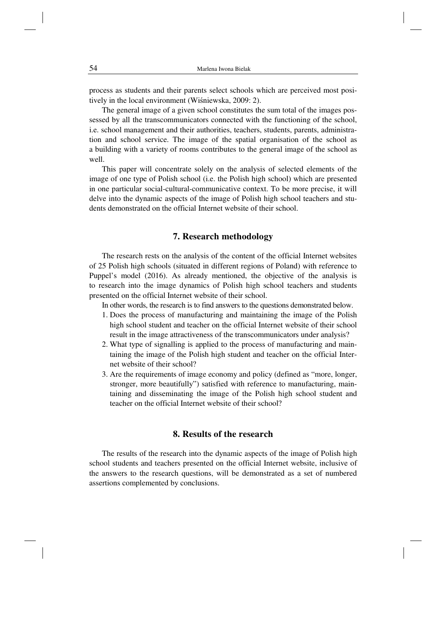process as students and their parents select schools which are perceived most positively in the local environment (Wiśniewska, 2009: 2).

The general image of a given school constitutes the sum total of the images possessed by all the transcommunicators connected with the functioning of the school, i.e. school management and their authorities, teachers, students, parents, administration and school service. The image of the spatial organisation of the school as a building with a variety of rooms contributes to the general image of the school as well.

This paper will concentrate solely on the analysis of selected elements of the image of one type of Polish school (i.e. the Polish high school) which are presented in one particular social-cultural-communicative context. To be more precise, it will delve into the dynamic aspects of the image of Polish high school teachers and students demonstrated on the official Internet website of their school.

## **7. Research methodology**

The research rests on the analysis of the content of the official Internet websites of 25 Polish high schools (situated in different regions of Poland) with reference to Puppel's model (2016). As already mentioned, the objective of the analysis is to research into the image dynamics of Polish high school teachers and students presented on the official Internet website of their school.

In other words, the research is to find answers to the questions demonstrated below.

- 1. Does the process of manufacturing and maintaining the image of the Polish high school student and teacher on the official Internet website of their school result in the image attractiveness of the transcommunicators under analysis?
- 2. What type of signalling is applied to the process of manufacturing and maintaining the image of the Polish high student and teacher on the official Internet website of their school?
- 3. Are the requirements of image economy and policy (defined as "more, longer, stronger, more beautifully") satisfied with reference to manufacturing, maintaining and disseminating the image of the Polish high school student and teacher on the official Internet website of their school?

# **8. Results of the research**

The results of the research into the dynamic aspects of the image of Polish high school students and teachers presented on the official Internet website, inclusive of the answers to the research questions, will be demonstrated as a set of numbered assertions complemented by conclusions.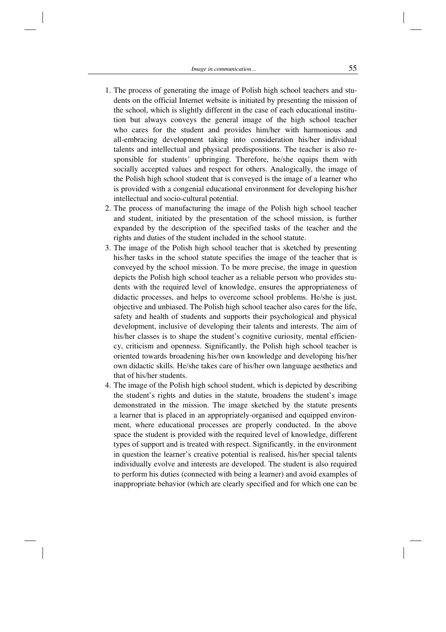- 1. The process of generating the image of Polish high school teachers and students on the official Internet website is initiated by presenting the mission of the school, which is slightly different in the case of each educational institution but always conveys the general image of the high school teacher who cares for the student and provides him/her with harmonious and all-embracing development taking into consideration his/her individual talents and intellectual and physical predispositions. The teacher is also responsible for students' upbringing. Therefore, he/she equips them with socially accepted values and respect for others. Analogically, the image of the Polish high school student that is conveyed is the image of a learner who is provided with a congenial educational environment for developing his/her intellectual and socio-cultural potential.
- 2. The process of manufacturing the image of the Polish high school teacher and student, initiated by the presentation of the school mission, is further expanded by the description of the specified tasks of the teacher and the rights and duties of the student included in the school statute.
- 3. The image of the Polish high school teacher that is sketched by presenting his/her tasks in the school statute specifies the image of the teacher that is conveyed by the school mission. To be more precise, the image in question depicts the Polish high school teacher as a reliable person who provides students with the required level of knowledge, ensures the appropriateness of didactic processes, and helps to overcome school problems. He/she is just, objective and unbiased. The Polish high school teacher also cares for the life, safety and health of students and supports their psychological and physical development, inclusive of developing their talents and interests. The aim of his/her classes is to shape the student's cognitive curiosity, mental efficiency, criticism and openness. Significantly, the Polish high school teacher is oriented towards broadening his/her own knowledge and developing his/her own didactic skills. He/she takes care of his/her own language aesthetics and that of his/her students.
- 4. The image of the Polish high school student, which is depicted by describing the student's rights and duties in the statute, broadens the student's image demonstrated in the mission. The image sketched by the statute presents a learner that is placed in an appropriately-organised and equipped environment, where educational processes are properly conducted. In the above space the student is provided with the required level of knowledge, different types of support and is treated with respect. Significantly, in the environment in question the learner's creative potential is realised, his/her special talents individually evolve and interests are developed. The student is also required to perform his duties (connected with being a learner) and avoid examples of inappropriate behavior (which are clearly specified and for which one can be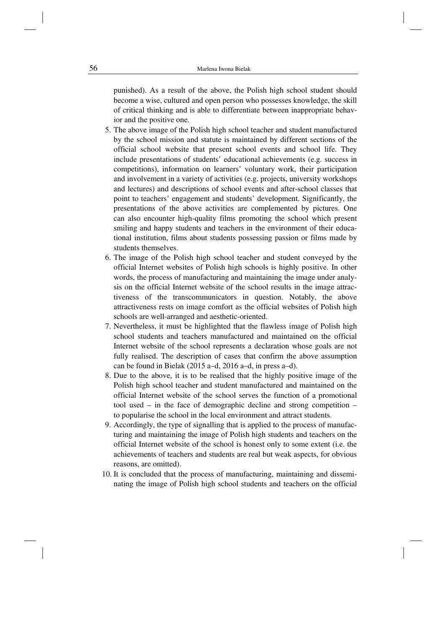punished). As a result of the above, the Polish high school student should become a wise, cultured and open person who possesses knowledge, the skill of critical thinking and is able to differentiate between inappropriate behavior and the positive one.

- 5. The above image of the Polish high school teacher and student manufactured by the school mission and statute is maintained by different sections of the official school website that present school events and school life. They include presentations of students' educational achievements (e.g. success in competitions), information on learners' voluntary work, their participation and involvement in a variety of activities (e.g. projects, university workshops and lectures) and descriptions of school events and after-school classes that point to teachers' engagement and students' development. Significantly, the presentations of the above activities are complemented by pictures. One can also encounter high-quality films promoting the school which present smiling and happy students and teachers in the environment of their educational institution, films about students possessing passion or films made by students themselves.
- 6. The image of the Polish high school teacher and student conveyed by the official Internet websites of Polish high schools is highly positive. In other words, the process of manufacturing and maintaining the image under analysis on the official Internet website of the school results in the image attractiveness of the transcommunicators in question. Notably, the above attractiveness rests on image comfort as the official websites of Polish high schools are well-arranged and aesthetic-oriented.
- 7. Nevertheless, it must be highlighted that the flawless image of Polish high school students and teachers manufactured and maintained on the official Internet website of the school represents a declaration whose goals are not fully realised. The description of cases that confirm the above assumption can be found in Bielak (2015 a–d, 2016 a–d, in press a–d).
- 8. Due to the above, it is to be realised that the highly positive image of the Polish high school teacher and student manufactured and maintained on the official Internet website of the school serves the function of a promotional tool used – in the face of demographic decline and strong competition – to popularise the school in the local environment and attract students.
- 9. Accordingly, the type of signalling that is applied to the process of manufacturing and maintaining the image of Polish high students and teachers on the official Internet website of the school is honest only to some extent (i.e. the achievements of teachers and students are real but weak aspects, for obvious reasons, are omitted).
- 10. It is concluded that the process of manufacturing, maintaining and disseminating the image of Polish high school students and teachers on the official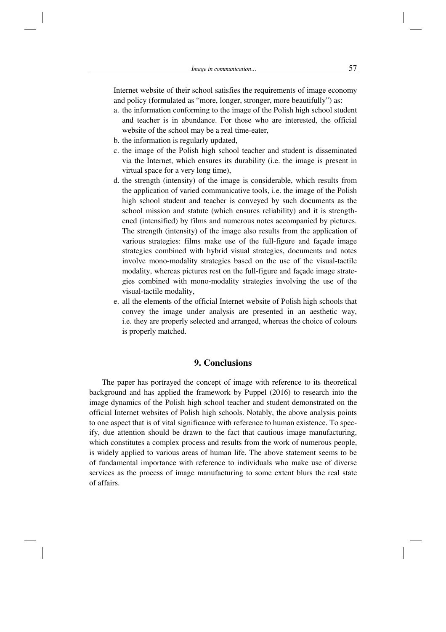Internet website of their school satisfies the requirements of image economy and policy (formulated as "more, longer, stronger, more beautifully") as:

- a. the information conforming to the image of the Polish high school student and teacher is in abundance. For those who are interested, the official website of the school may be a real time-eater,
- b. the information is regularly updated,
- c. the image of the Polish high school teacher and student is disseminated via the Internet, which ensures its durability (i.e. the image is present in virtual space for a very long time),
- d. the strength (intensity) of the image is considerable, which results from the application of varied communicative tools, i.e. the image of the Polish high school student and teacher is conveyed by such documents as the school mission and statute (which ensures reliability) and it is strengthened (intensified) by films and numerous notes accompanied by pictures. The strength (intensity) of the image also results from the application of various strategies: films make use of the full-figure and façade image strategies combined with hybrid visual strategies, documents and notes involve mono-modality strategies based on the use of the visual-tactile modality, whereas pictures rest on the full-figure and façade image strategies combined with mono-modality strategies involving the use of the visual-tactile modality,
- e. all the elements of the official Internet website of Polish high schools that convey the image under analysis are presented in an aesthetic way, i.e. they are properly selected and arranged, whereas the choice of colours is properly matched.

## **9. Conclusions**

The paper has portrayed the concept of image with reference to its theoretical background and has applied the framework by Puppel (2016) to research into the image dynamics of the Polish high school teacher and student demonstrated on the official Internet websites of Polish high schools. Notably, the above analysis points to one aspect that is of vital significance with reference to human existence. To specify, due attention should be drawn to the fact that cautious image manufacturing, which constitutes a complex process and results from the work of numerous people, is widely applied to various areas of human life. The above statement seems to be of fundamental importance with reference to individuals who make use of diverse services as the process of image manufacturing to some extent blurs the real state of affairs.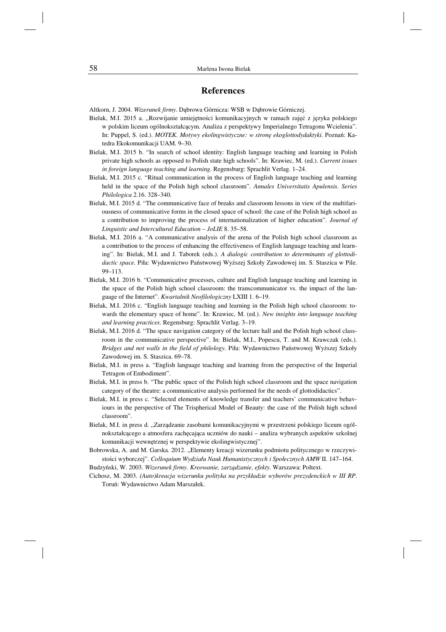# **References**

Altkorn, J. 2004. *Wizerunek firmy.* Dąbrowa Górnicza: WSB w Dąbrowie Górniczej.

- Bielak, M.I. 2015 a. "Rozwijanie umiejętności komunikacyjnych w ramach zajęć z języka polskiego w polskim liceum ogólnokształcącym. Analiza z perspektywy Imperialnego Tetragonu Wcielenia". In: Puppel, S. (ed.). *MOTEK. Motywy ekolingwistyczne: w stronę ekoglottodydaktyki.* Poznań: Katedra Ekokomunikacji UAM*.* 9–30.
- Bielak, M.I. 2015 b. "In search of school identity: English language teaching and learning in Polish private high schools as opposed to Polish state high schools". In: Krawiec, M. (ed.). *Current issues in foreign language teaching and learning.* Regensburg: Sprachlit Verlag. 1–24.
- Bielak, M.I. 2015 c. "Ritual communication in the process of English language teaching and learning held in the space of the Polish high school classroom". *Annales Universitatis Apulensis. Series Philologica* 2.16. 328–340.
- Bielak, M.I. 2015 d. "The communicative face of breaks and classroom lessons in view of the multifariousness of communicative forms in the closed space of school: the case of the Polish high school as a contribution to improving the process of internationalization of higher education". *Journal of Linguistic and Intercultural Education – JoLIE* 8. 35–58.
- Bielak, M.I. 2016 a. "A communicative analysis of the arena of the Polish high school classroom as a contribution to the process of enhancing the effectiveness of English language teaching and learning". In: Bielak, M.I. and J. Taborek (eds.). *A dialogic contribution to determinants of glottodidactic space.* Piła: Wydawnictwo Państwowej Wyższej Szkoły Zawodowej im. S. Staszica w Pile. 99–113.
- Bielak, M.I. 2016 b. "Communicative processes, culture and English language teaching and learning in the space of the Polish high school classroom: the transcommunicator vs. the impact of the language of the Internet". *Kwartalnik Neofilologiczny* LXIII 1. 6–19.
- Bielak, M.I. 2016 c. "English language teaching and learning in the Polish high school classroom: towards the elementary space of home". In: Krawiec, M. (ed.). *New insights into language teaching and learning practices.* Regensburg: Sprachlit Verlag. 3–19.
- Bielak, M.I. 2016 d. "The space navigation category of the lecture hall and the Polish high school classroom in the communicative perspective". In: Bielak, M.I., Popescu, T. and M. Krawczak (eds.). *Bridges and not walls in the field of philology.* Piła: Wydawnictwo Państwowej Wyższej Szkoły Zawodowej im. S. Staszica. 69–78.
- Bielak, M.I. in press a. "English language teaching and learning from the perspective of the Imperial Tetragon of Embodiment".
- Bielak, M.I. in press b. "The public space of the Polish high school classroom and the space navigation category of the theatre: a communicative analysis performed for the needs of glottodidactics".
- Bielak, M.I. in press c. "Selected elements of knowledge transfer and teachers' communicative behaviours in the perspective of The Trispherical Model of Beauty: the case of the Polish high school classroom".
- Bielak, M.I. in press d. "Zarządzanie zasobami komunikacyjnymi w przestrzeni polskiego liceum ogólnokształcącego a atmosfera zachęcająca uczniów do nauki – analiza wybranych aspektów szkolnej komunikacji wewnętrznej w perspektywie ekolingwistycznej".
- Bobrowska, A. and M. Garska. 2012. "Elementy kreacji wizerunku podmiotu politycznego w rzeczywistości wyborczej". *Colloquium Wydziału Nauk Humanistycznych i Społecznych AMW* II. 147–164.

Budzyński, W. 2003. *Wizerunek firmy. Kreowanie, zarządzanie, efekty.* Warszawa: Poltext.

Cichosz, M. 2003. *(Auto)kreacja wizerunku polityka na przykładzie wyborów prezydenckich w III RP.* Toruń: Wydawnictwo Adam Marszałek.